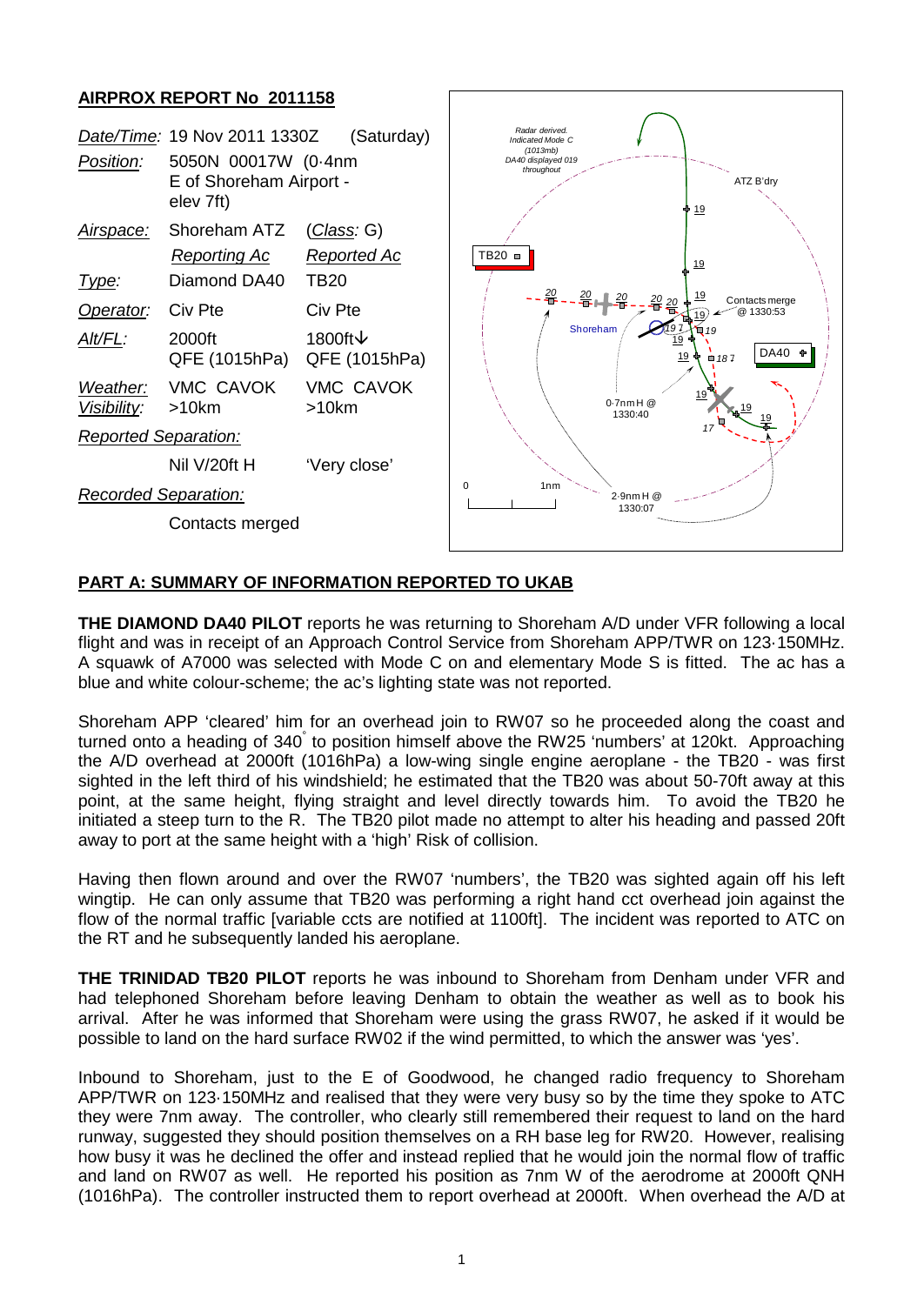## **AIRPROX REPORT No 2011158**



#### **PART A: SUMMARY OF INFORMATION REPORTED TO UKAB**

**THE DIAMOND DA40 PILOT** reports he was returning to Shoreham A/D under VFR following a local flight and was in receipt of an Approach Control Service from Shoreham APP/TWR on 123·150MHz. A squawk of A7000 was selected with Mode C on and elementary Mode S is fitted. The ac has a blue and white colour-scheme; the ac's lighting state was not reported.

Shoreham APP 'cleared' him for an overhead join to RW07 so he proceeded along the coast and turned onto a heading of 340° to position himself above the RW25 'numbers' at 120kt. Approaching the A/D overhead at 2000ft (1016hPa) a low-wing single engine aeroplane - the TB20 - was first sighted in the left third of his windshield; he estimated that the TB20 was about 50-70ft away at this point, at the same height, flying straight and level directly towards him. To avoid the TB20 he initiated a steep turn to the R. The TB20 pilot made no attempt to alter his heading and passed 20ft away to port at the same height with a 'high' Risk of collision.

Having then flown around and over the RW07 'numbers', the TB20 was sighted again off his left wingtip. He can only assume that TB20 was performing a right hand cct overhead join against the flow of the normal traffic [variable ccts are notified at 1100ft]. The incident was reported to ATC on the RT and he subsequently landed his aeroplane.

**THE TRINIDAD TB20 PILOT** reports he was inbound to Shoreham from Denham under VFR and had telephoned Shoreham before leaving Denham to obtain the weather as well as to book his arrival. After he was informed that Shoreham were using the grass RW07, he asked if it would be possible to land on the hard surface RW02 if the wind permitted, to which the answer was 'yes'.

Inbound to Shoreham, just to the E of Goodwood, he changed radio frequency to Shoreham APP/TWR on 123·150MHz and realised that they were very busy so by the time they spoke to ATC they were 7nm away. The controller, who clearly still remembered their request to land on the hard runway, suggested they should position themselves on a RH base leg for RW20. However, realising how busy it was he declined the offer and instead replied that he would join the normal flow of traffic and land on RW07 as well. He reported his position as 7nm W of the aerodrome at 2000ft QNH (1016hPa). The controller instructed them to report overhead at 2000ft. When overhead the A/D at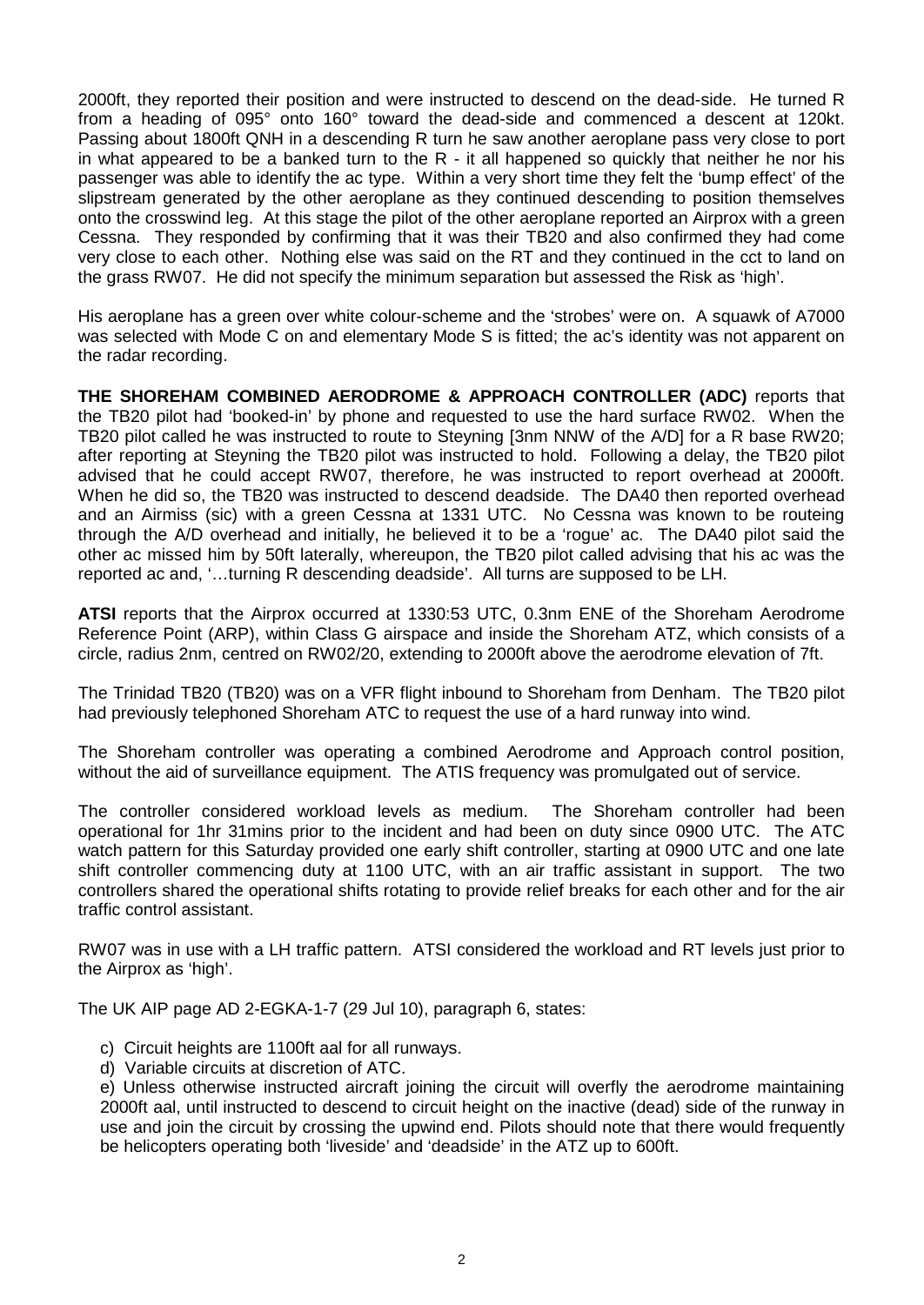2000ft, they reported their position and were instructed to descend on the dead-side. He turned R from a heading of 095° onto 160° toward the dead-side and commenced a descent at 120kt. Passing about 1800ft QNH in a descending R turn he saw another aeroplane pass very close to port in what appeared to be a banked turn to the R - it all happened so quickly that neither he nor his passenger was able to identify the ac type. Within a very short time they felt the 'bump effect' of the slipstream generated by the other aeroplane as they continued descending to position themselves onto the crosswind leg. At this stage the pilot of the other aeroplane reported an Airprox with a green Cessna. They responded by confirming that it was their TB20 and also confirmed they had come very close to each other. Nothing else was said on the RT and they continued in the cct to land on the grass RW07. He did not specify the minimum separation but assessed the Risk as 'high'.

His aeroplane has a green over white colour-scheme and the 'strobes' were on. A squawk of A7000 was selected with Mode C on and elementary Mode S is fitted; the ac's identity was not apparent on the radar recording.

**THE SHOREHAM COMBINED AERODROME & APPROACH CONTROLLER (ADC)** reports that the TB20 pilot had 'booked-in' by phone and requested to use the hard surface RW02. When the TB20 pilot called he was instructed to route to Steyning [3nm NNW of the A/D] for a R base RW20; after reporting at Steyning the TB20 pilot was instructed to hold. Following a delay, the TB20 pilot advised that he could accept RW07, therefore, he was instructed to report overhead at 2000ft. When he did so, the TB20 was instructed to descend deadside. The DA40 then reported overhead and an Airmiss (sic) with a green Cessna at 1331 UTC. No Cessna was known to be routeing through the A/D overhead and initially, he believed it to be a 'rogue' ac. The DA40 pilot said the other ac missed him by 50ft laterally, whereupon, the TB20 pilot called advising that his ac was the reported ac and, '…turning R descending deadside'. All turns are supposed to be LH.

**ATSI** reports that the Airprox occurred at 1330:53 UTC, 0.3nm ENE of the Shoreham Aerodrome Reference Point (ARP), within Class G airspace and inside the Shoreham ATZ, which consists of a circle, radius 2nm, centred on RW02/20, extending to 2000ft above the aerodrome elevation of 7ft.

The Trinidad TB20 (TB20) was on a VFR flight inbound to Shoreham from Denham. The TB20 pilot had previously telephoned Shoreham ATC to request the use of a hard runway into wind.

The Shoreham controller was operating a combined Aerodrome and Approach control position, without the aid of surveillance equipment. The ATIS frequency was promulgated out of service.

The controller considered workload levels as medium. The Shoreham controller had been operational for 1hr 31mins prior to the incident and had been on duty since 0900 UTC. The ATC watch pattern for this Saturday provided one early shift controller, starting at 0900 UTC and one late shift controller commencing duty at 1100 UTC, with an air traffic assistant in support. The two controllers shared the operational shifts rotating to provide relief breaks for each other and for the air traffic control assistant.

RW07 was in use with a LH traffic pattern. ATSI considered the workload and RT levels just prior to the Airprox as 'high'.

The UK AIP page AD 2-EGKA-1-7 (29 Jul 10), paragraph 6, states:

- c) Circuit heights are 1100ft aal for all runways.
- d) Variable circuits at discretion of ATC.

e) Unless otherwise instructed aircraft joining the circuit will overfly the aerodrome maintaining 2000ft aal, until instructed to descend to circuit height on the inactive (dead) side of the runway in use and join the circuit by crossing the upwind end. Pilots should note that there would frequently be helicopters operating both 'liveside' and 'deadside' in the ATZ up to 600ft.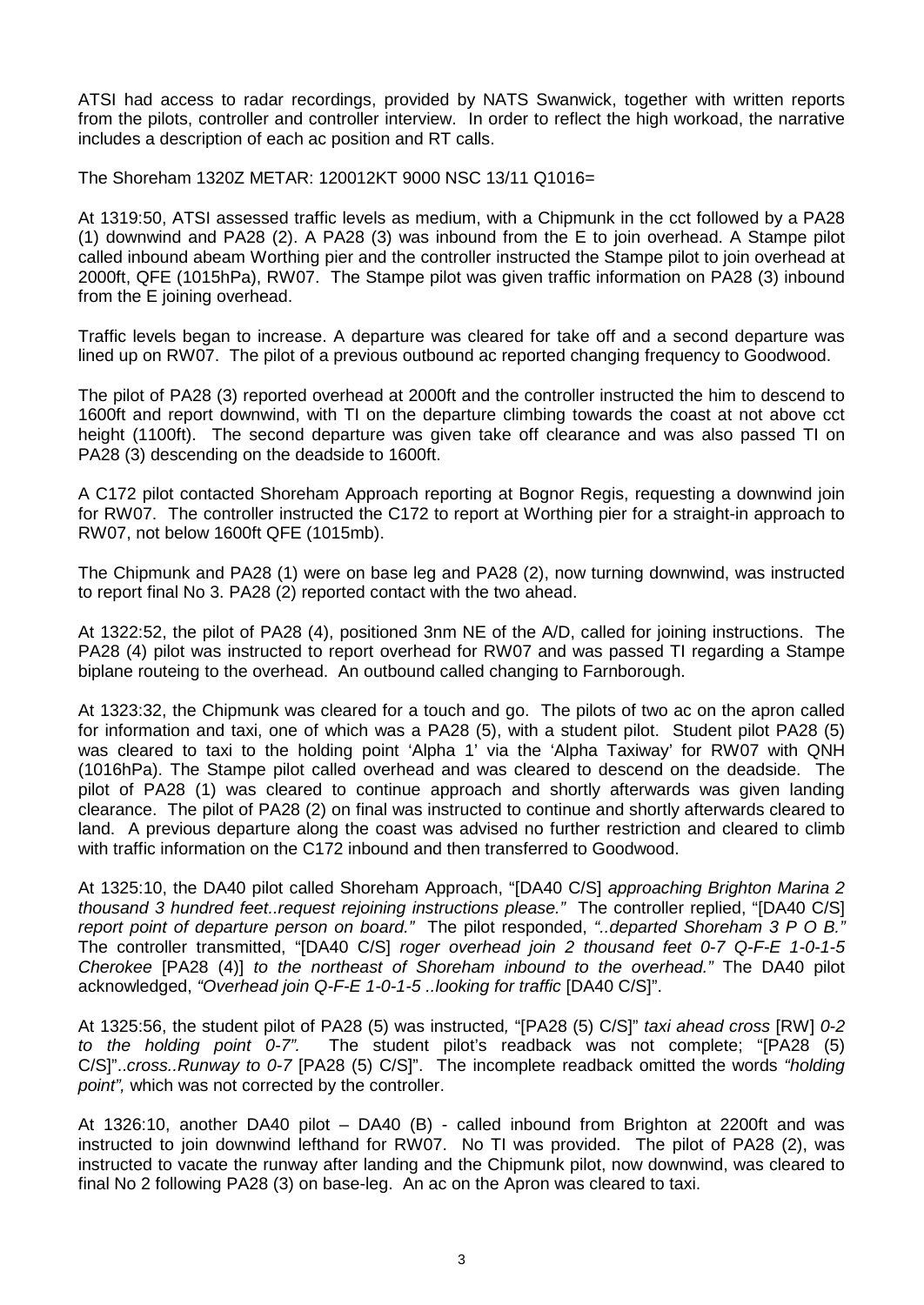ATSI had access to radar recordings, provided by NATS Swanwick, together with written reports from the pilots, controller and controller interview. In order to reflect the high workoad, the narrative includes a description of each ac position and RT calls.

The Shoreham 1320Z METAR: 120012KT 9000 NSC 13/11 Q1016=

At 1319:50, ATSI assessed traffic levels as medium, with a Chipmunk in the cct followed by a PA28 (1) downwind and PA28 (2). A PA28 (3) was inbound from the E to join overhead. A Stampe pilot called inbound abeam Worthing pier and the controller instructed the Stampe pilot to join overhead at 2000ft, QFE (1015hPa), RW07. The Stampe pilot was given traffic information on PA28 (3) inbound from the E joining overhead.

Traffic levels began to increase. A departure was cleared for take off and a second departure was lined up on RW07. The pilot of a previous outbound ac reported changing frequency to Goodwood.

The pilot of PA28 (3) reported overhead at 2000ft and the controller instructed the him to descend to 1600ft and report downwind, with TI on the departure climbing towards the coast at not above cct height (1100ft). The second departure was given take off clearance and was also passed TI on PA28 (3) descending on the deadside to 1600ft.

A C172 pilot contacted Shoreham Approach reporting at Bognor Regis, requesting a downwind join for RW07. The controller instructed the C172 to report at Worthing pier for a straight-in approach to RW07, not below 1600ft QFE (1015mb).

The Chipmunk and PA28 (1) were on base leg and PA28 (2), now turning downwind, was instructed to report final No 3. PA28 (2) reported contact with the two ahead.

At 1322:52, the pilot of PA28 (4), positioned 3nm NE of the A/D, called for joining instructions. The PA28 (4) pilot was instructed to report overhead for RW07 and was passed TI regarding a Stampe biplane routeing to the overhead. An outbound called changing to Farnborough.

At 1323:32, the Chipmunk was cleared for a touch and go. The pilots of two ac on the apron called for information and taxi, one of which was a PA28 (5), with a student pilot. Student pilot PA28 (5) was cleared to taxi to the holding point 'Alpha 1' via the 'Alpha Taxiway' for RW07 with QNH (1016hPa). The Stampe pilot called overhead and was cleared to descend on the deadside. The pilot of PA28 (1) was cleared to continue approach and shortly afterwards was given landing clearance. The pilot of PA28 (2) on final was instructed to continue and shortly afterwards cleared to land. A previous departure along the coast was advised no further restriction and cleared to climb with traffic information on the C172 inbound and then transferred to Goodwood.

At 1325:10, the DA40 pilot called Shoreham Approach, "[DA40 C/S] *approaching Brighton Marina 2 thousand 3 hundred feet..request rejoining instructions please."* The controller replied, "[DA40 C/S] *report point of departure person on board."* The pilot responded, *"..departed Shoreham 3 P O B."* The controller transmitted, "[DA40 C/S] *roger overhead join 2 thousand feet 0-7 Q-F-E 1-0-1-5 Cherokee* [PA28 (4)] *to the northeast of Shoreham inbound to the overhead."* The DA40 pilot acknowledged, *"Overhead join Q-F-E 1-0-1-5 ..looking for traffic* [DA40 C/S]".

At 1325:56, the student pilot of PA28 (5) was instructed*,* "[PA28 (5) C/S]" *taxi ahead cross* [RW] *0-2 to the holding point 0-7".* The student pilot's readback was not complete; "[PA28 (5) C/S]"..*cross..Runway to 0-7* [PA28 (5) C/S]". The incomplete readback omitted the words *"holding point",* which was not corrected by the controller.

At 1326:10, another DA40 pilot – DA40 (B) - called inbound from Brighton at 2200ft and was instructed to join downwind lefthand for RW07. No TI was provided. The pilot of PA28 (2), was instructed to vacate the runway after landing and the Chipmunk pilot, now downwind, was cleared to final No 2 following PA28 (3) on base-leg. An ac on the Apron was cleared to taxi.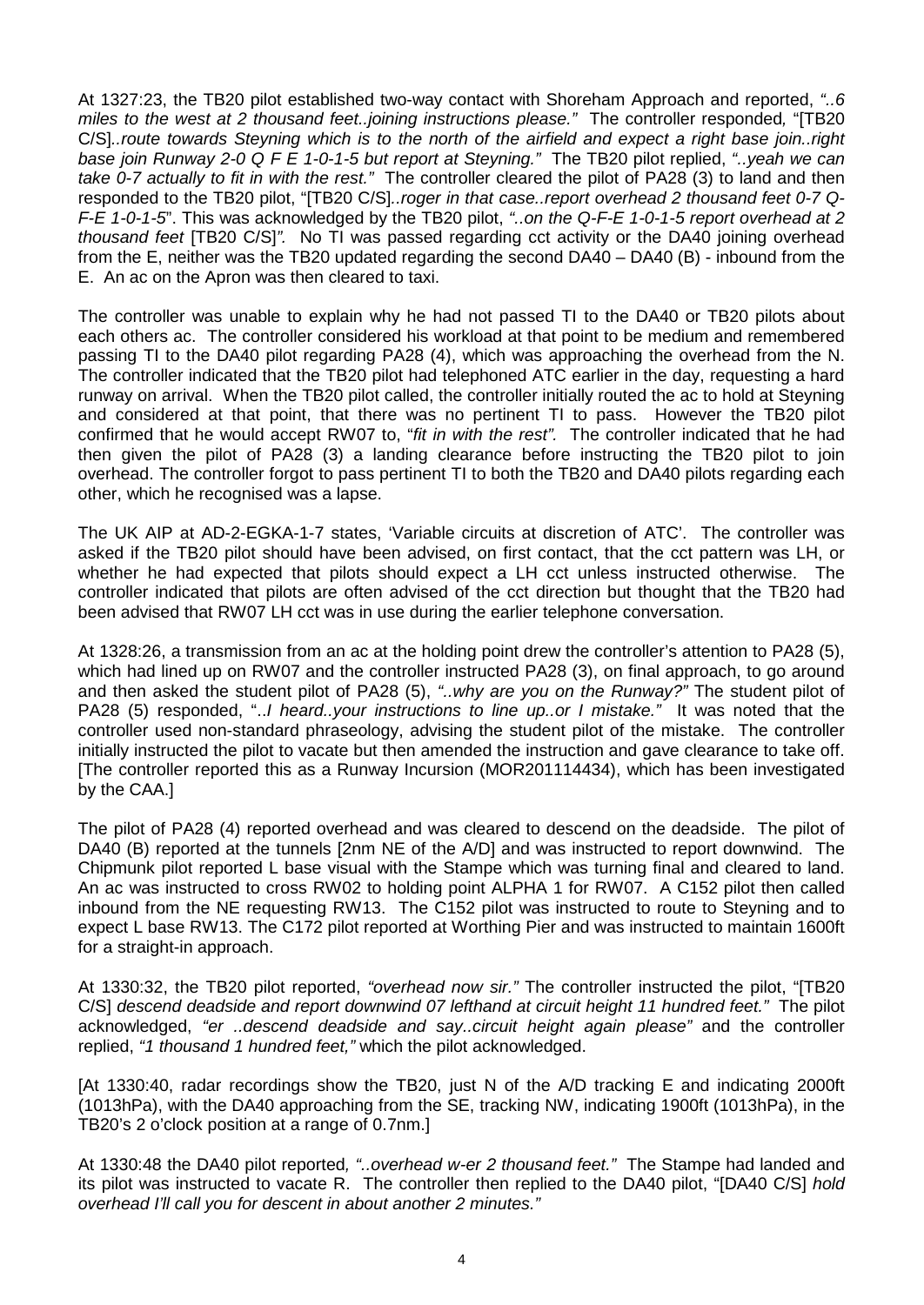At 1327:23, the TB20 pilot established two-way contact with Shoreham Approach and reported, *"..6 miles to the west at 2 thousand feet..joining instructions please."* The controller responded*,* "[TB20 C/S]*..route towards Steyning which is to the north of the airfield and expect a right base join..right base join Runway 2-0 Q F E 1-0-1-5 but report at Steyning."* The TB20 pilot replied, *"..yeah we can take 0-7 actually to fit in with the rest."* The controller cleared the pilot of PA28 (3) to land and then responded to the TB20 pilot, "[TB20 C/S]*..roger in that case..report overhead 2 thousand feet 0-7 Q-F-E 1-0-1-5*". This was acknowledged by the TB20 pilot, *"..on the Q-F-E 1-0-1-5 report overhead at 2 thousand feet* [TB20 C/S]*".* No TI was passed regarding cct activity or the DA40 joining overhead from the E, neither was the TB20 updated regarding the second DA40 – DA40 (B) - inbound from the E. An ac on the Apron was then cleared to taxi.

The controller was unable to explain why he had not passed TI to the DA40 or TB20 pilots about each others ac. The controller considered his workload at that point to be medium and remembered passing TI to the DA40 pilot regarding PA28 (4), which was approaching the overhead from the N. The controller indicated that the TB20 pilot had telephoned ATC earlier in the day, requesting a hard runway on arrival. When the TB20 pilot called, the controller initially routed the ac to hold at Steyning and considered at that point, that there was no pertinent TI to pass. However the TB20 pilot confirmed that he would accept RW07 to, "*fit in with the rest".* The controller indicated that he had then given the pilot of PA28 (3) a landing clearance before instructing the TB20 pilot to join overhead. The controller forgot to pass pertinent TI to both the TB20 and DA40 pilots regarding each other, which he recognised was a lapse.

The UK AIP at AD-2-EGKA-1-7 states, 'Variable circuits at discretion of ATC'. The controller was asked if the TB20 pilot should have been advised, on first contact, that the cct pattern was LH, or whether he had expected that pilots should expect a LH cct unless instructed otherwise. The controller indicated that pilots are often advised of the cct direction but thought that the TB20 had been advised that RW07 LH cct was in use during the earlier telephone conversation.

At 1328:26, a transmission from an ac at the holding point drew the controller's attention to PA28 (5), which had lined up on RW07 and the controller instructed PA28 (3), on final approach, to go around and then asked the student pilot of PA28 (5), *"..why are you on the Runway?"* The student pilot of PA28 (5) responded, "..*I heard..your instructions to line up..or I mistake."* It was noted that the controller used non-standard phraseology, advising the student pilot of the mistake. The controller initially instructed the pilot to vacate but then amended the instruction and gave clearance to take off. [The controller reported this as a Runway Incursion (MOR201114434), which has been investigated by the CAA.]

The pilot of PA28 (4) reported overhead and was cleared to descend on the deadside. The pilot of DA40 (B) reported at the tunnels [2nm NE of the A/D] and was instructed to report downwind. The Chipmunk pilot reported L base visual with the Stampe which was turning final and cleared to land. An ac was instructed to cross RW02 to holding point ALPHA 1 for RW07. A C152 pilot then called inbound from the NE requesting RW13. The C152 pilot was instructed to route to Steyning and to expect L base RW13. The C172 pilot reported at Worthing Pier and was instructed to maintain 1600ft for a straight-in approach.

At 1330:32, the TB20 pilot reported, *"overhead now sir."* The controller instructed the pilot, "[TB20 C/S] *descend deadside and report downwind 07 lefthand at circuit height 11 hundred feet."* The pilot acknowledged, *"er ..descend deadside and say..circuit height again please"* and the controller replied, *"1 thousand 1 hundred feet,"* which the pilot acknowledged.

[At 1330:40, radar recordings show the TB20, just N of the A/D tracking E and indicating 2000ft (1013hPa), with the DA40 approaching from the SE, tracking NW, indicating 1900ft (1013hPa), in the TB20's 2 o'clock position at a range of 0.7nm.]

At 1330:48 the DA40 pilot reported*, "..overhead w-er 2 thousand feet."* The Stampe had landed and its pilot was instructed to vacate R. The controller then replied to the DA40 pilot, "[DA40 C/S] *hold overhead I'll call you for descent in about another 2 minutes."*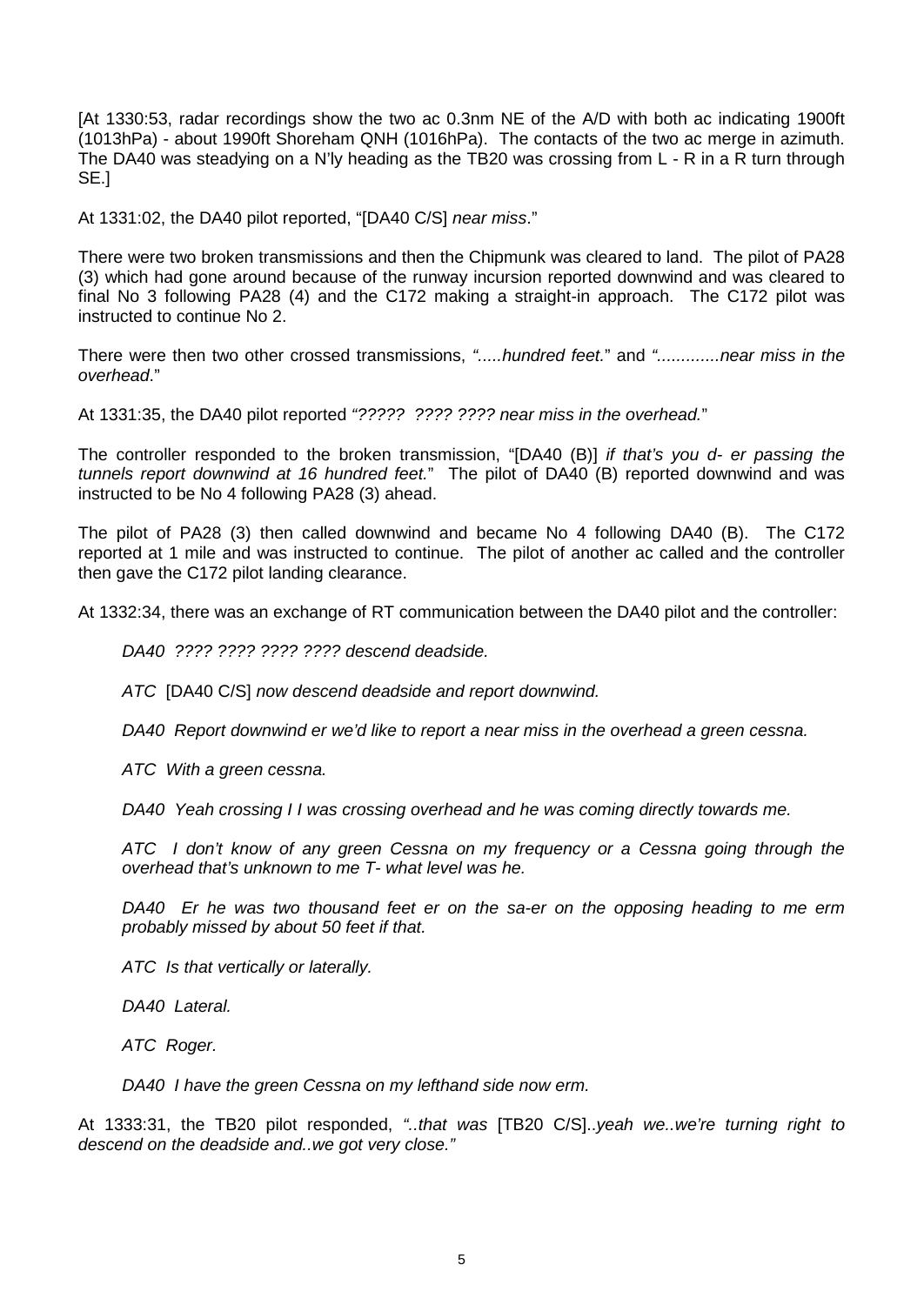[At 1330:53, radar recordings show the two ac 0.3nm NE of the A/D with both ac indicating 1900ft (1013hPa) - about 1990ft Shoreham QNH (1016hPa). The contacts of the two ac merge in azimuth. The DA40 was steadying on a N'ly heading as the TB20 was crossing from L - R in a R turn through SE.]

At 1331:02, the DA40 pilot reported, "[DA40 C/S] *near miss*."

There were two broken transmissions and then the Chipmunk was cleared to land. The pilot of PA28 (3) which had gone around because of the runway incursion reported downwind and was cleared to final No 3 following PA28 (4) and the C172 making a straight-in approach. The C172 pilot was instructed to continue No 2.

There were then two other crossed transmissions, *".....hundred feet.*" and *".............near miss in the overhead*."

At 1331:35, the DA40 pilot reported *"????? ???? ???? near miss in the overhead.*"

The controller responded to the broken transmission, "[DA40 (B)] *if that's you d- er passing the tunnels report downwind at 16 hundred feet.*" The pilot of DA40 (B) reported downwind and was instructed to be No 4 following PA28 (3) ahead.

The pilot of PA28 (3) then called downwind and became No 4 following DA40 (B). The C172 reported at 1 mile and was instructed to continue. The pilot of another ac called and the controller then gave the C172 pilot landing clearance.

At 1332:34, there was an exchange of RT communication between the DA40 pilot and the controller:

*DA40 ???? ???? ???? ???? descend deadside.*

*ATC* [DA40 C/S] *now descend deadside and report downwind.* 

*DA40 Report downwind er we'd like to report a near miss in the overhead a green cessna.*

*ATC With a green cessna.*

*DA40 Yeah crossing I I was crossing overhead and he was coming directly towards me.*

*ATC I don't know of any green Cessna on my frequency or a Cessna going through the overhead that's unknown to me T- what level was he.*

*DA40 Er he was two thousand feet er on the sa-er on the opposing heading to me erm probably missed by about 50 feet if that.*

*ATC Is that vertically or laterally.*

*DA40 Lateral.*

*ATC Roger.*

*DA40 I have the green Cessna on my lefthand side now erm.*

At 1333:31, the TB20 pilot responded, *"..that was* [TB20 C/S]..*yeah we..we're turning right to descend on the deadside and..we got very close."*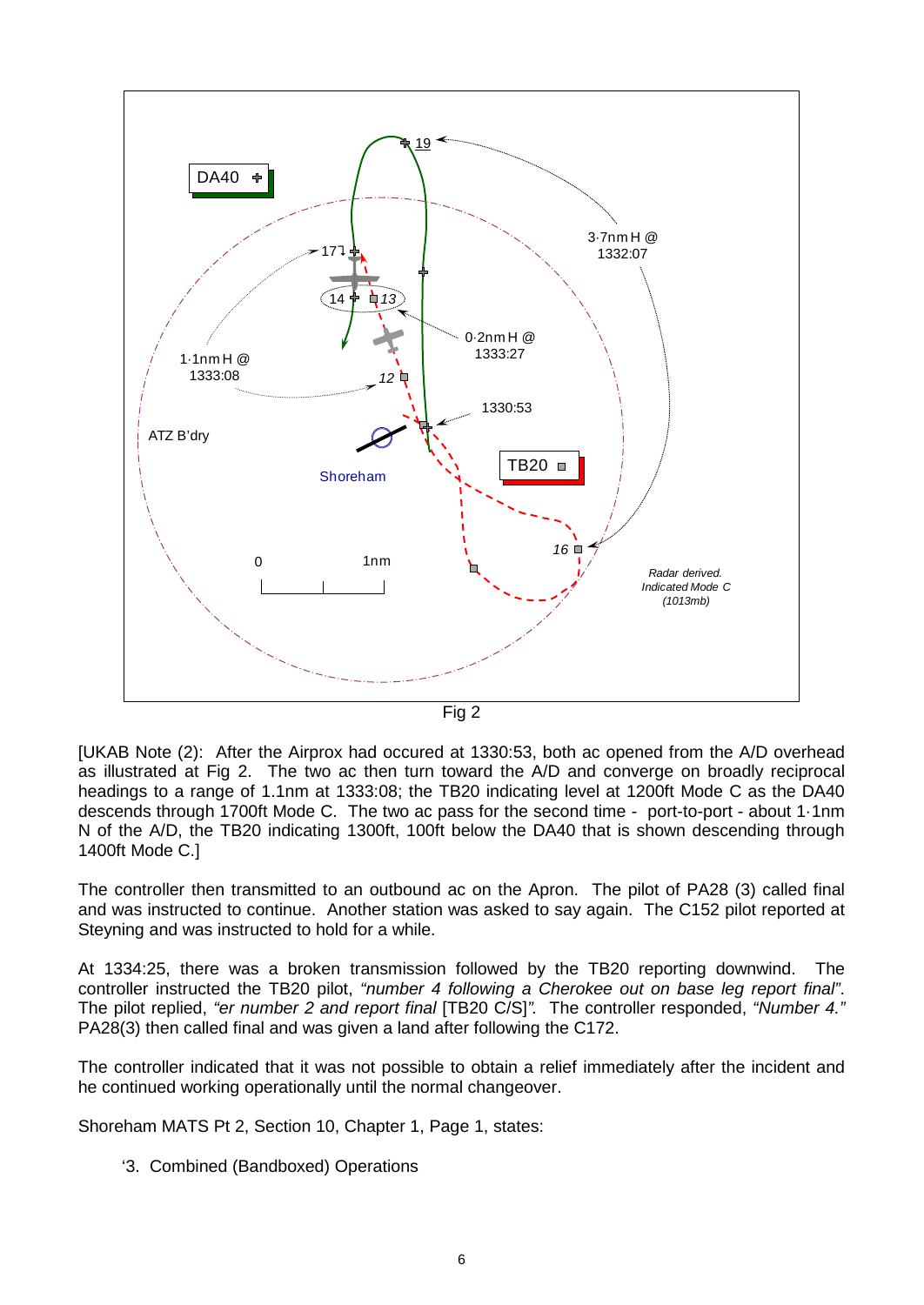



[UKAB Note (2): After the Airprox had occured at 1330:53, both ac opened from the A/D overhead as illustrated at Fig 2. The two ac then turn toward the A/D and converge on broadly reciprocal headings to a range of 1.1nm at 1333:08; the TB20 indicating level at 1200ft Mode C as the DA40 descends through 1700ft Mode C. The two ac pass for the second time - port-to-port - about 1·1nm N of the A/D, the TB20 indicating 1300ft, 100ft below the DA40 that is shown descending through 1400ft Mode C.]

The controller then transmitted to an outbound ac on the Apron. The pilot of PA28 (3) called final and was instructed to continue. Another station was asked to say again. The C152 pilot reported at Steyning and was instructed to hold for a while.

At 1334:25, there was a broken transmission followed by the TB20 reporting downwind. The controller instructed the TB20 pilot, *"number 4 following a Cherokee out on base leg report final"*. The pilot replied, *"er number 2 and report final* [TB20 C/S]*".* The controller responded, *"Number 4."* PA28(3) then called final and was given a land after following the C172.

The controller indicated that it was not possible to obtain a relief immediately after the incident and he continued working operationally until the normal changeover.

Shoreham MATS Pt 2, Section 10, Chapter 1, Page 1, states:

'3. Combined (Bandboxed) Operations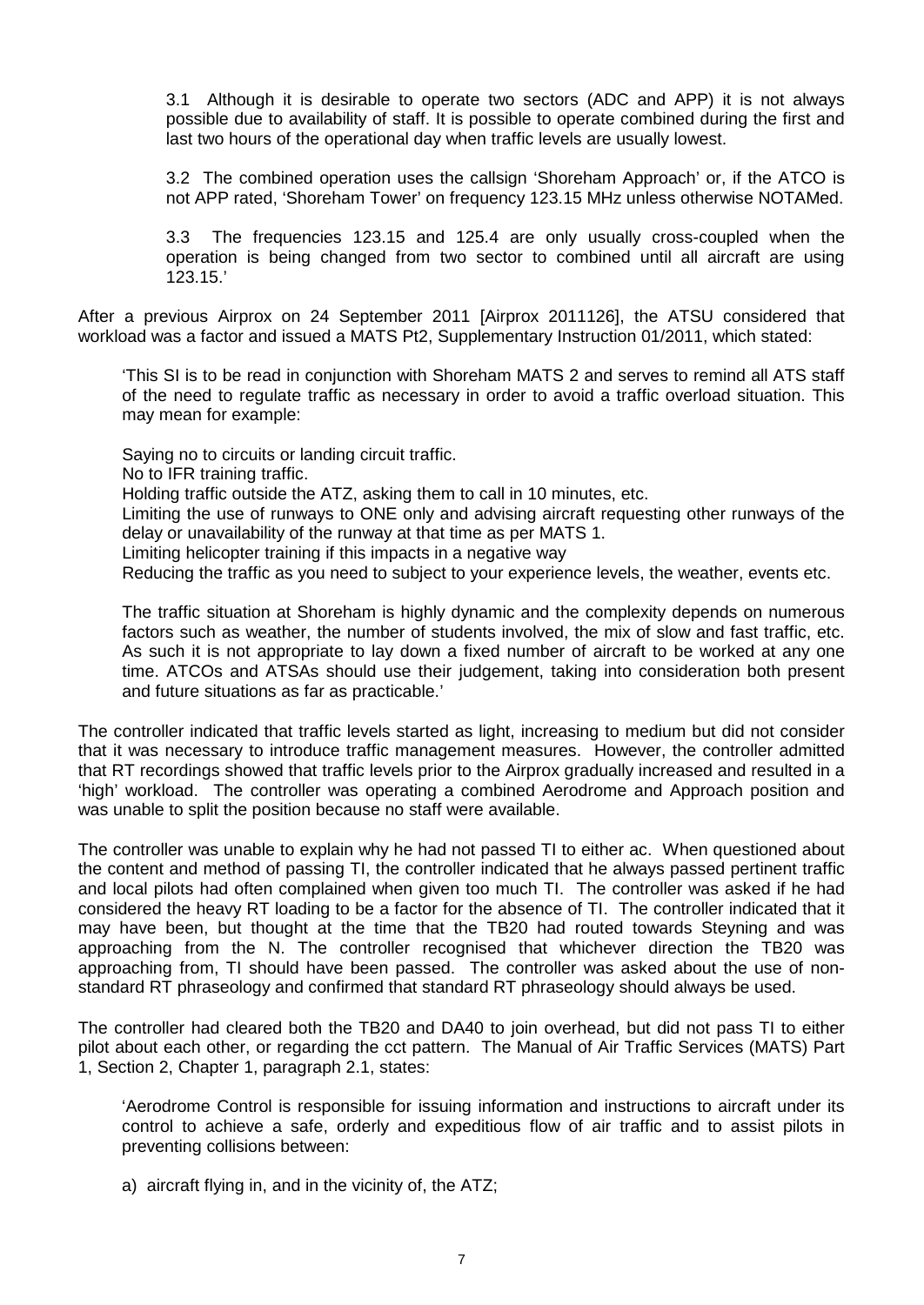3.1 Although it is desirable to operate two sectors (ADC and APP) it is not always possible due to availability of staff. It is possible to operate combined during the first and last two hours of the operational day when traffic levels are usually lowest.

3.2 The combined operation uses the callsign 'Shoreham Approach' or, if the ATCO is not APP rated, 'Shoreham Tower' on frequency 123.15 MHz unless otherwise NOTAMed.

3.3 The frequencies 123.15 and 125.4 are only usually cross-coupled when the operation is being changed from two sector to combined until all aircraft are using 123.15.'

After a previous Airprox on 24 September 2011 [Airprox 2011126], the ATSU considered that workload was a factor and issued a MATS Pt2, Supplementary Instruction 01/2011, which stated:

'This SI is to be read in conjunction with Shoreham MATS 2 and serves to remind all ATS staff of the need to regulate traffic as necessary in order to avoid a traffic overload situation. This may mean for example:

Saying no to circuits or landing circuit traffic.

No to IFR training traffic.

Holding traffic outside the ATZ, asking them to call in 10 minutes, etc.

Limiting the use of runways to ONE only and advising aircraft requesting other runways of the delay or unavailability of the runway at that time as per MATS 1.

Limiting helicopter training if this impacts in a negative way

Reducing the traffic as you need to subject to your experience levels, the weather, events etc.

The traffic situation at Shoreham is highly dynamic and the complexity depends on numerous factors such as weather, the number of students involved, the mix of slow and fast traffic, etc. As such it is not appropriate to lay down a fixed number of aircraft to be worked at any one time. ATCOs and ATSAs should use their judgement, taking into consideration both present and future situations as far as practicable.'

The controller indicated that traffic levels started as light, increasing to medium but did not consider that it was necessary to introduce traffic management measures. However, the controller admitted that RT recordings showed that traffic levels prior to the Airprox gradually increased and resulted in a 'high' workload. The controller was operating a combined Aerodrome and Approach position and was unable to split the position because no staff were available.

The controller was unable to explain why he had not passed TI to either ac. When questioned about the content and method of passing TI, the controller indicated that he always passed pertinent traffic and local pilots had often complained when given too much TI. The controller was asked if he had considered the heavy RT loading to be a factor for the absence of TI. The controller indicated that it may have been, but thought at the time that the TB20 had routed towards Steyning and was approaching from the N. The controller recognised that whichever direction the TB20 was approaching from, TI should have been passed. The controller was asked about the use of nonstandard RT phraseology and confirmed that standard RT phraseology should always be used.

The controller had cleared both the TB20 and DA40 to join overhead, but did not pass TI to either pilot about each other, or regarding the cct pattern. The Manual of Air Traffic Services (MATS) Part 1, Section 2, Chapter 1, paragraph 2.1, states:

'Aerodrome Control is responsible for issuing information and instructions to aircraft under its control to achieve a safe, orderly and expeditious flow of air traffic and to assist pilots in preventing collisions between:

a) aircraft flying in, and in the vicinity of, the ATZ;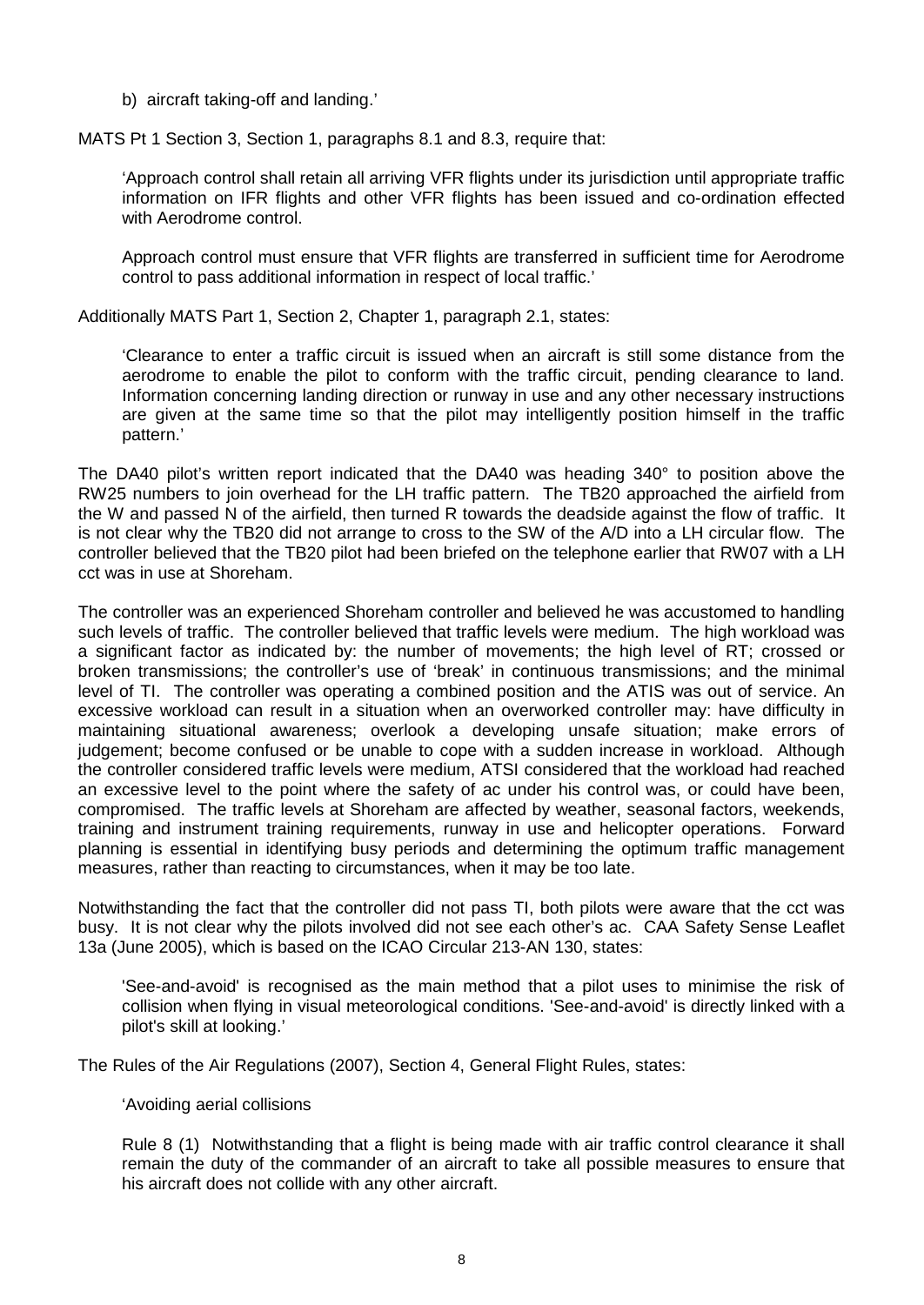b) aircraft taking-off and landing.'

MATS Pt 1 Section 3, Section 1, paragraphs 8.1 and 8.3, require that:

'Approach control shall retain all arriving VFR flights under its jurisdiction until appropriate traffic information on IFR flights and other VFR flights has been issued and co-ordination effected with Aerodrome control.

Approach control must ensure that VFR flights are transferred in sufficient time for Aerodrome control to pass additional information in respect of local traffic.'

Additionally MATS Part 1, Section 2, Chapter 1, paragraph 2.1, states:

'Clearance to enter a traffic circuit is issued when an aircraft is still some distance from the aerodrome to enable the pilot to conform with the traffic circuit, pending clearance to land. Information concerning landing direction or runway in use and any other necessary instructions are given at the same time so that the pilot may intelligently position himself in the traffic pattern.'

The DA40 pilot's written report indicated that the DA40 was heading 340° to position above the RW25 numbers to join overhead for the LH traffic pattern. The TB20 approached the airfield from the W and passed N of the airfield, then turned R towards the deadside against the flow of traffic. It is not clear why the TB20 did not arrange to cross to the SW of the A/D into a LH circular flow. The controller believed that the TB20 pilot had been briefed on the telephone earlier that RW07 with a LH cct was in use at Shoreham.

The controller was an experienced Shoreham controller and believed he was accustomed to handling such levels of traffic. The controller believed that traffic levels were medium. The high workload was a significant factor as indicated by: the number of movements; the high level of RT; crossed or broken transmissions; the controller's use of 'break' in continuous transmissions; and the minimal level of TI. The controller was operating a combined position and the ATIS was out of service. An excessive workload can result in a situation when an overworked controller may: have difficulty in maintaining situational awareness; overlook a developing unsafe situation; make errors of judgement; become confused or be unable to cope with a sudden increase in workload. Although the controller considered traffic levels were medium, ATSI considered that the workload had reached an excessive level to the point where the safety of ac under his control was, or could have been, compromised. The traffic levels at Shoreham are affected by weather, seasonal factors, weekends, training and instrument training requirements, runway in use and helicopter operations. Forward planning is essential in identifying busy periods and determining the optimum traffic management measures, rather than reacting to circumstances, when it may be too late.

Notwithstanding the fact that the controller did not pass TI, both pilots were aware that the cct was busy. It is not clear why the pilots involved did not see each other's ac. CAA Safety Sense Leaflet 13a (June 2005), which is based on the ICAO Circular 213-AN 130, states:

'See-and-avoid' is recognised as the main method that a pilot uses to minimise the risk of collision when flying in visual meteorological conditions. 'See-and-avoid' is directly linked with a pilot's skill at looking.'

The Rules of the Air Regulations (2007), Section 4, General Flight Rules, states:

#### 'Avoiding aerial collisions

Rule 8 (1) Notwithstanding that a flight is being made with air traffic control clearance it shall remain the duty of the commander of an aircraft to take all possible measures to ensure that his aircraft does not collide with any other aircraft.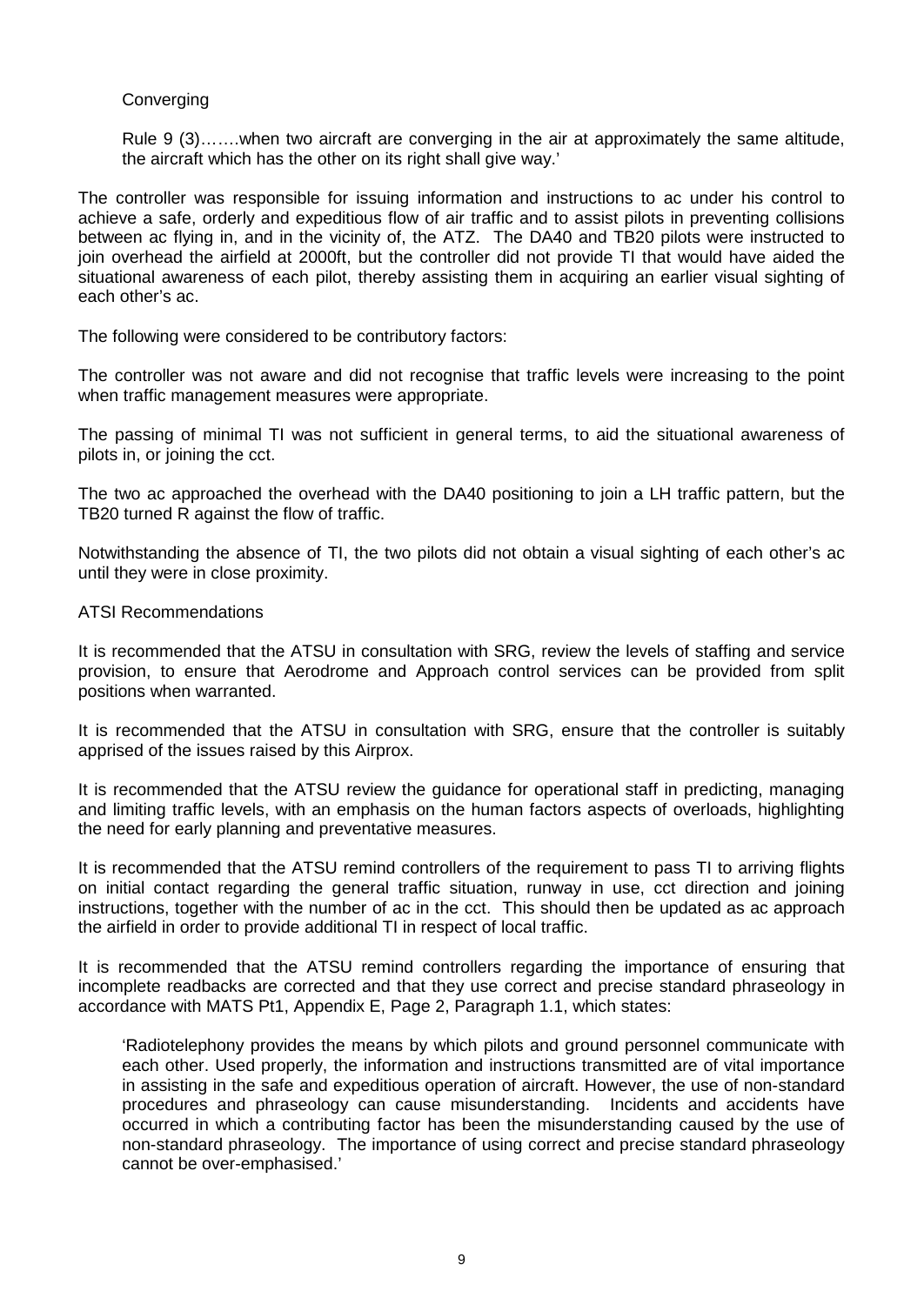#### **Converging**

Rule 9 (3)…….when two aircraft are converging in the air at approximately the same altitude, the aircraft which has the other on its right shall give way.'

The controller was responsible for issuing information and instructions to ac under his control to achieve a safe, orderly and expeditious flow of air traffic and to assist pilots in preventing collisions between ac flying in, and in the vicinity of, the ATZ. The DA40 and TB20 pilots were instructed to join overhead the airfield at 2000ft, but the controller did not provide TI that would have aided the situational awareness of each pilot, thereby assisting them in acquiring an earlier visual sighting of each other's ac.

The following were considered to be contributory factors:

The controller was not aware and did not recognise that traffic levels were increasing to the point when traffic management measures were appropriate.

The passing of minimal TI was not sufficient in general terms, to aid the situational awareness of pilots in, or joining the cct.

The two ac approached the overhead with the DA40 positioning to join a LH traffic pattern, but the TB20 turned R against the flow of traffic.

Notwithstanding the absence of TI, the two pilots did not obtain a visual sighting of each other's ac until they were in close proximity.

#### ATSI Recommendations

It is recommended that the ATSU in consultation with SRG, review the levels of staffing and service provision, to ensure that Aerodrome and Approach control services can be provided from split positions when warranted.

It is recommended that the ATSU in consultation with SRG, ensure that the controller is suitably apprised of the issues raised by this Airprox.

It is recommended that the ATSU review the guidance for operational staff in predicting, managing and limiting traffic levels, with an emphasis on the human factors aspects of overloads, highlighting the need for early planning and preventative measures.

It is recommended that the ATSU remind controllers of the requirement to pass TI to arriving flights on initial contact regarding the general traffic situation, runway in use, cct direction and joining instructions, together with the number of ac in the cct. This should then be updated as ac approach the airfield in order to provide additional TI in respect of local traffic.

It is recommended that the ATSU remind controllers regarding the importance of ensuring that incomplete readbacks are corrected and that they use correct and precise standard phraseology in accordance with MATS Pt1, Appendix E, Page 2, Paragraph 1.1, which states:

'Radiotelephony provides the means by which pilots and ground personnel communicate with each other. Used properly, the information and instructions transmitted are of vital importance in assisting in the safe and expeditious operation of aircraft. However, the use of non-standard procedures and phraseology can cause misunderstanding. Incidents and accidents have occurred in which a contributing factor has been the misunderstanding caused by the use of non-standard phraseology. The importance of using correct and precise standard phraseology cannot be over-emphasised.'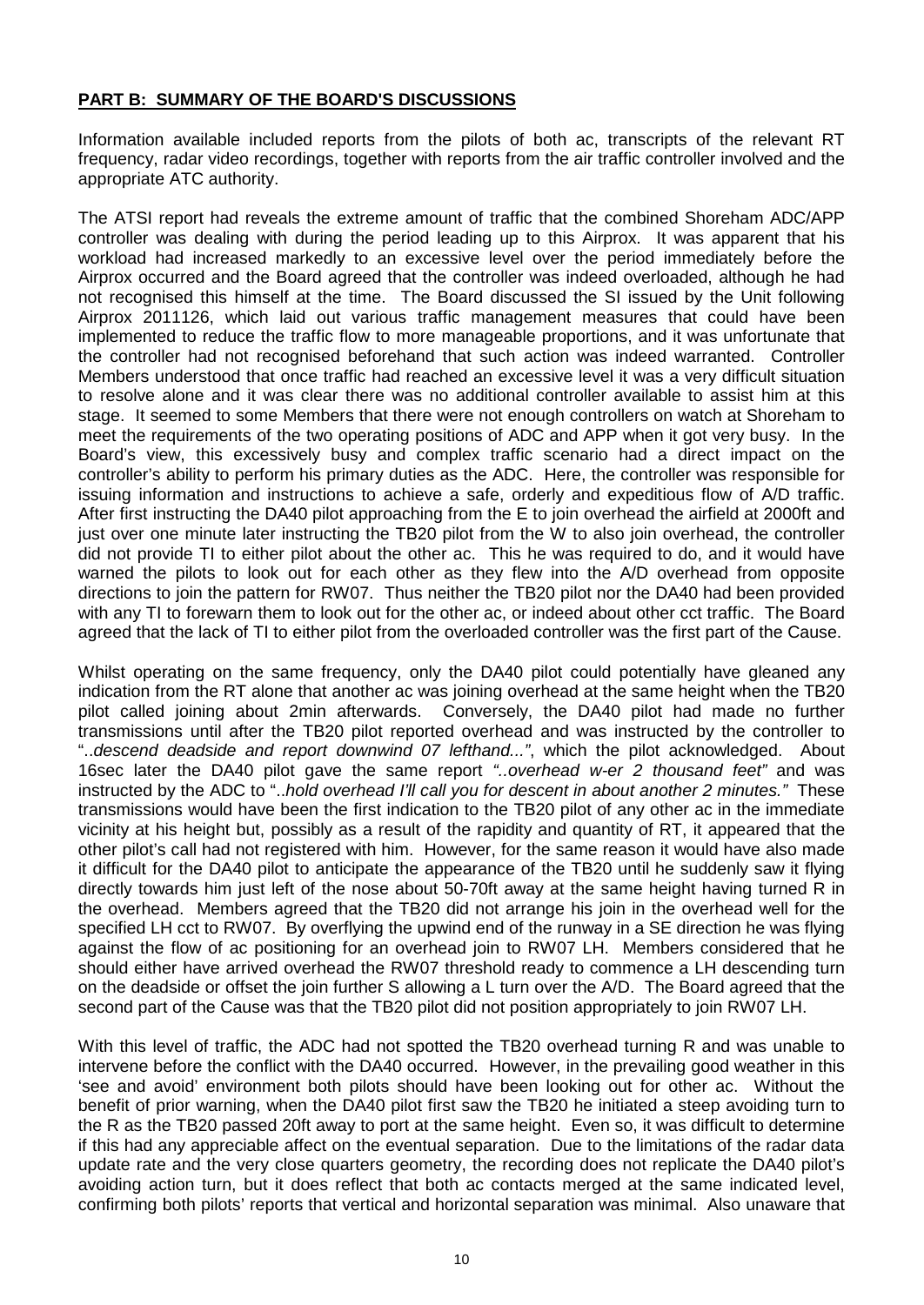## **PART B: SUMMARY OF THE BOARD'S DISCUSSIONS**

Information available included reports from the pilots of both ac, transcripts of the relevant RT frequency, radar video recordings, together with reports from the air traffic controller involved and the appropriate ATC authority.

The ATSI report had reveals the extreme amount of traffic that the combined Shoreham ADC/APP controller was dealing with during the period leading up to this Airprox. It was apparent that his workload had increased markedly to an excessive level over the period immediately before the Airprox occurred and the Board agreed that the controller was indeed overloaded, although he had not recognised this himself at the time. The Board discussed the SI issued by the Unit following Airprox 2011126, which laid out various traffic management measures that could have been implemented to reduce the traffic flow to more manageable proportions, and it was unfortunate that the controller had not recognised beforehand that such action was indeed warranted. Controller Members understood that once traffic had reached an excessive level it was a very difficult situation to resolve alone and it was clear there was no additional controller available to assist him at this stage. It seemed to some Members that there were not enough controllers on watch at Shoreham to meet the requirements of the two operating positions of ADC and APP when it got very busy. In the Board's view, this excessively busy and complex traffic scenario had a direct impact on the controller's ability to perform his primary duties as the ADC. Here, the controller was responsible for issuing information and instructions to achieve a safe, orderly and expeditious flow of A/D traffic. After first instructing the DA40 pilot approaching from the E to join overhead the airfield at 2000ft and just over one minute later instructing the TB20 pilot from the W to also join overhead, the controller did not provide TI to either pilot about the other ac. This he was required to do, and it would have warned the pilots to look out for each other as they flew into the A/D overhead from opposite directions to join the pattern for RW07. Thus neither the TB20 pilot nor the DA40 had been provided with any TI to forewarn them to look out for the other ac, or indeed about other cct traffic. The Board agreed that the lack of TI to either pilot from the overloaded controller was the first part of the Cause.

Whilst operating on the same frequency, only the DA40 pilot could potentially have gleaned any indication from the RT alone that another ac was joining overhead at the same height when the TB20 pilot called joining about 2min afterwards. Conversely, the DA40 pilot had made no further transmissions until after the TB20 pilot reported overhead and was instructed by the controller to "..*descend deadside and report downwind 07 lefthand..."*, which the pilot acknowledged. About 16sec later the DA40 pilot gave the same report *"..overhead w-er 2 thousand feet"* and was instructed by the ADC to "..*hold overhead I'll call you for descent in about another 2 minutes."* These transmissions would have been the first indication to the TB20 pilot of any other ac in the immediate vicinity at his height but, possibly as a result of the rapidity and quantity of RT, it appeared that the other pilot's call had not registered with him. However, for the same reason it would have also made it difficult for the DA40 pilot to anticipate the appearance of the TB20 until he suddenly saw it flying directly towards him just left of the nose about 50-70ft away at the same height having turned R in the overhead. Members agreed that the TB20 did not arrange his join in the overhead well for the specified LH cct to RW07. By overflying the upwind end of the runway in a SE direction he was flying against the flow of ac positioning for an overhead join to RW07 LH. Members considered that he should either have arrived overhead the RW07 threshold ready to commence a LH descending turn on the deadside or offset the join further S allowing a L turn over the A/D. The Board agreed that the second part of the Cause was that the TB20 pilot did not position appropriately to join RW07 LH.

With this level of traffic, the ADC had not spotted the TB20 overhead turning R and was unable to intervene before the conflict with the DA40 occurred. However, in the prevailing good weather in this 'see and avoid' environment both pilots should have been looking out for other ac. Without the benefit of prior warning, when the DA40 pilot first saw the TB20 he initiated a steep avoiding turn to the R as the TB20 passed 20ft away to port at the same height. Even so, it was difficult to determine if this had any appreciable affect on the eventual separation. Due to the limitations of the radar data update rate and the very close quarters geometry, the recording does not replicate the DA40 pilot's avoiding action turn, but it does reflect that both ac contacts merged at the same indicated level, confirming both pilots' reports that vertical and horizontal separation was minimal. Also unaware that